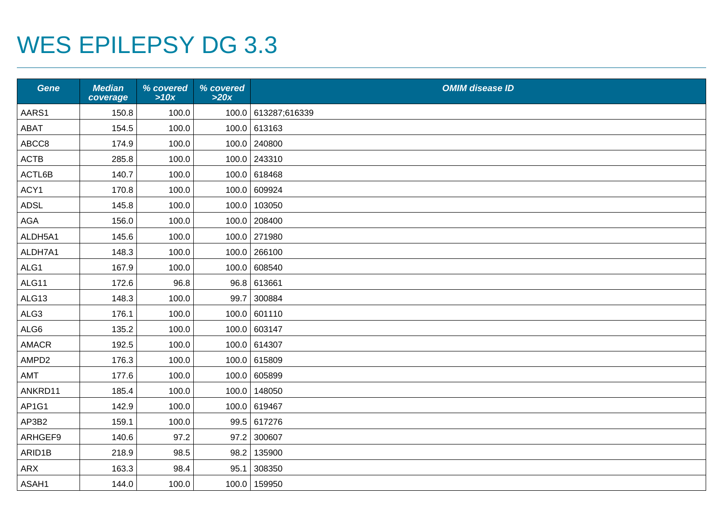## WES EPILEPSY DG 3.3

| <b>Gene</b>  | <b>Median</b><br>coverage | % covered<br>>10x | % covered<br>>20x | <b>OMIM disease ID</b> |
|--------------|---------------------------|-------------------|-------------------|------------------------|
| AARS1        | 150.8                     | 100.0             |                   | 100.0 613287;616339    |
| ABAT         | 154.5                     | 100.0             |                   | 100.0 613163           |
| ABCC8        | 174.9                     | 100.0             |                   | 100.0 240800           |
| <b>ACTB</b>  | 285.8                     | 100.0             |                   | 100.0 243310           |
| ACTL6B       | 140.7                     | 100.0             |                   | 100.0 618468           |
| ACY1         | 170.8                     | 100.0             |                   | 100.0 609924           |
| <b>ADSL</b>  | 145.8                     | 100.0             |                   | 100.0 103050           |
| AGA          | 156.0                     | 100.0             |                   | 100.0 208400           |
| ALDH5A1      | 145.6                     | 100.0             |                   | 100.0 271980           |
| ALDH7A1      | 148.3                     | 100.0             | 100.0             | 266100                 |
| ALG1         | 167.9                     | 100.0             |                   | 100.0 608540           |
| ALG11        | 172.6                     | 96.8              |                   | 96.8 613661            |
| ALG13        | 148.3                     | 100.0             | 99.7              | 300884                 |
| ALG3         | 176.1                     | 100.0             |                   | 100.0 601110           |
| ALG6         | 135.2                     | 100.0             |                   | 100.0 603147           |
| <b>AMACR</b> | 192.5                     | 100.0             |                   | 100.0 614307           |
| AMPD2        | 176.3                     | 100.0             |                   | 100.0 615809           |
| AMT          | 177.6                     | 100.0             |                   | 100.0 605899           |
| ANKRD11      | 185.4                     | 100.0             | 100.0             | 148050                 |
| AP1G1        | 142.9                     | 100.0             |                   | 100.0 619467           |
| AP3B2        | 159.1                     | 100.0             |                   | 99.5 617276            |
| ARHGEF9      | 140.6                     | 97.2              |                   | 97.2 300607            |
| ARID1B       | 218.9                     | 98.5              | 98.2              | 135900                 |
| ARX          | 163.3                     | 98.4              | 95.1              | 308350                 |
| ASAH1        | 144.0                     | 100.0             |                   | 100.0 159950           |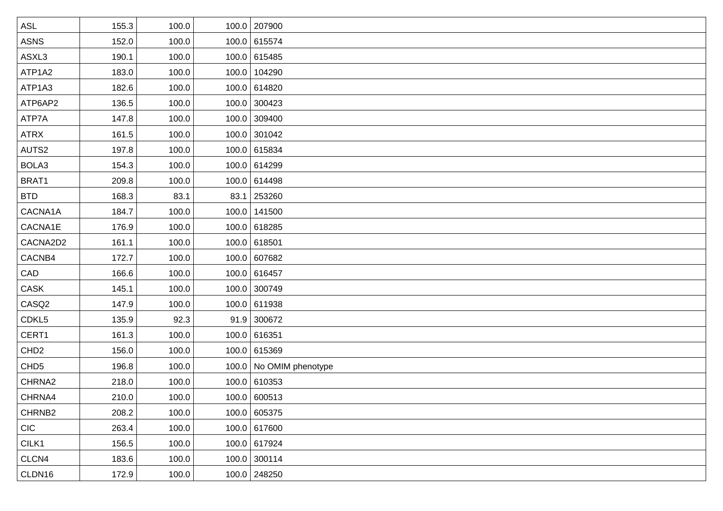| <b>ASL</b>         | 155.3 | 100.0 | 100.0 207900            |
|--------------------|-------|-------|-------------------------|
| <b>ASNS</b>        | 152.0 | 100.0 | 100.0 615574            |
| ASXL3              | 190.1 | 100.0 | 100.0 615485            |
| ATP1A2             | 183.0 | 100.0 | 100.0 104290            |
| ATP1A3             | 182.6 | 100.0 | 100.0 614820            |
| ATP6AP2            | 136.5 | 100.0 | 100.0 300423            |
| ATP7A              | 147.8 | 100.0 | 100.0 309400            |
| <b>ATRX</b>        | 161.5 | 100.0 | 100.0 301042            |
| AUTS2              | 197.8 | 100.0 | 100.0 615834            |
| BOLA3              | 154.3 | 100.0 | 100.0 614299            |
| BRAT1              | 209.8 | 100.0 | 100.0 614498            |
| <b>BTD</b>         | 168.3 | 83.1  | 83.1 253260             |
| CACNA1A            | 184.7 | 100.0 | 100.0 141500            |
| CACNA1E            | 176.9 | 100.0 | 100.0 618285            |
| CACNA2D2           | 161.1 | 100.0 | 100.0 618501            |
| CACNB4             | 172.7 | 100.0 | 100.0 607682            |
| CAD                | 166.6 | 100.0 | 100.0 616457            |
| CASK               | 145.1 | 100.0 | 100.0 300749            |
| CASQ2              | 147.9 | 100.0 | 100.0 611938            |
| CDKL5              | 135.9 | 92.3  | $91.9$ 300672           |
| CERT1              | 161.3 | 100.0 | 100.0 616351            |
| CHD <sub>2</sub>   | 156.0 | 100.0 | 100.0 615369            |
| CHD <sub>5</sub>   | 196.8 | 100.0 | 100.0 No OMIM phenotype |
| CHRNA2             | 218.0 | 100.0 | 100.0 610353            |
| CHRNA4             | 210.0 | 100.0 | 100.0 600513            |
| CHRNB <sub>2</sub> | 208.2 | 100.0 | 100.0 605375            |
| <b>CIC</b>         | 263.4 | 100.0 | 100.0 617600            |
| CILK1              | 156.5 | 100.0 | 100.0 617924            |
| CLCN4              | 183.6 | 100.0 | 100.0 300114            |
| CLDN16             | 172.9 | 100.0 | 100.0 248250            |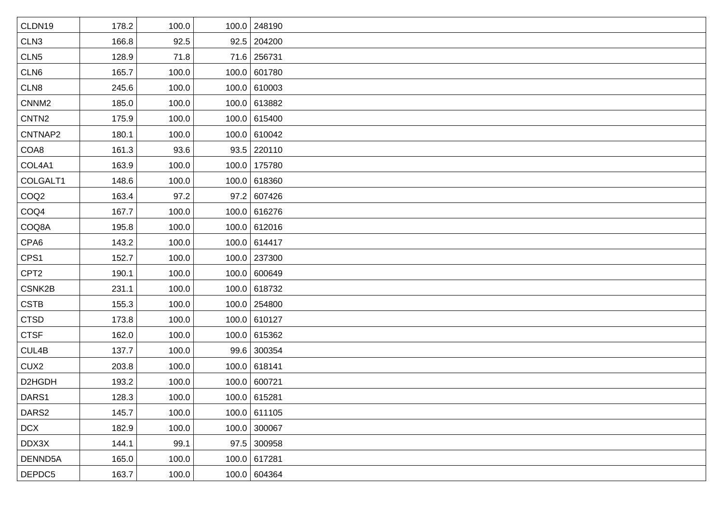| CLDN19            | 178.2 | 100.0 | 100.0 248190  |
|-------------------|-------|-------|---------------|
| CLN <sub>3</sub>  | 166.8 | 92.5  | $92.5$ 204200 |
| CLN <sub>5</sub>  | 128.9 | 71.8  | 71.6 256731   |
| CLN6              | 165.7 | 100.0 | 100.0 601780  |
| CLN8              | 245.6 | 100.0 | 100.0 610003  |
| CNNM <sub>2</sub> | 185.0 | 100.0 | 100.0 613882  |
| CNTN <sub>2</sub> | 175.9 | 100.0 | 100.0 615400  |
| CNTNAP2           | 180.1 | 100.0 | 100.0 610042  |
| COA8              | 161.3 | 93.6  | $93.5$ 220110 |
| COL4A1            | 163.9 | 100.0 | 100.0 175780  |
| COLGALT1          | 148.6 | 100.0 | 100.0 618360  |
| COQ <sub>2</sub>  | 163.4 | 97.2  | 97.2   607426 |
| COQ4              | 167.7 | 100.0 | 100.0 616276  |
| COQ8A             | 195.8 | 100.0 | 100.0 612016  |
| CPA6              | 143.2 | 100.0 | 100.0 614417  |
| CPS1              | 152.7 | 100.0 | 100.0 237300  |
| CPT <sub>2</sub>  | 190.1 | 100.0 | 100.0 600649  |
| CSNK2B            | 231.1 | 100.0 | 100.0 618732  |
| <b>CSTB</b>       | 155.3 | 100.0 | 100.0 254800  |
| <b>CTSD</b>       | 173.8 | 100.0 | 100.0 610127  |
| <b>CTSF</b>       | 162.0 | 100.0 | 100.0 615362  |
| CUL4B             | 137.7 | 100.0 | 99.6 300354   |
| CUX <sub>2</sub>  | 203.8 | 100.0 | 100.0 618141  |
| D2HGDH            | 193.2 | 100.0 | 100.0 600721  |
| DARS1             | 128.3 | 100.0 | 100.0 615281  |
| DARS2             | 145.7 | 100.0 | 100.0 611105  |
| <b>DCX</b>        | 182.9 | 100.0 | 100.0 300067  |
| DDX3X             | 144.1 | 99.1  | 97.5 300958   |
| DENND5A           | 165.0 | 100.0 | 100.0 617281  |
| DEPDC5            | 163.7 | 100.0 | 100.0 604364  |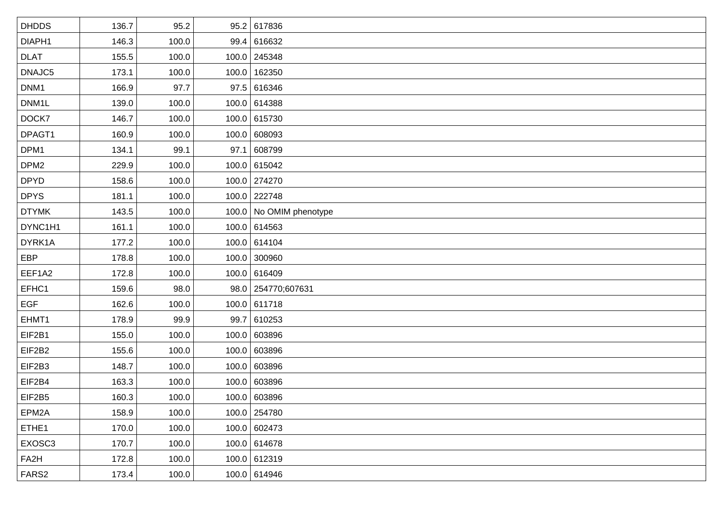| <b>DHDDS</b>     | 136.7 | 95.2  |      | 95.2 617836             |
|------------------|-------|-------|------|-------------------------|
| DIAPH1           | 146.3 | 100.0 |      | 99.4 616632             |
| <b>DLAT</b>      | 155.5 | 100.0 |      | 100.0 245348            |
| DNAJC5           | 173.1 | 100.0 |      | 100.0 162350            |
| DNM1             | 166.9 | 97.7  |      | 97.5 616346             |
| DNM1L            | 139.0 | 100.0 |      | 100.0 614388            |
| DOCK7            | 146.7 | 100.0 |      | 100.0 615730            |
| DPAGT1           | 160.9 | 100.0 |      | 100.0 608093            |
| DPM1             | 134.1 | 99.1  | 97.1 | 608799                  |
| DPM <sub>2</sub> | 229.9 | 100.0 |      | 100.0 615042            |
| <b>DPYD</b>      | 158.6 | 100.0 |      | 100.0 274270            |
| <b>DPYS</b>      | 181.1 | 100.0 |      | 100.0 222748            |
| <b>DTYMK</b>     | 143.5 | 100.0 |      | 100.0 No OMIM phenotype |
| DYNC1H1          | 161.1 | 100.0 |      | 100.0 614563            |
| DYRK1A           | 177.2 | 100.0 |      | 100.0 614104            |
| EBP              | 178.8 | 100.0 |      | 100.0 300960            |
| EEF1A2           | 172.8 | 100.0 |      | 100.0 616409            |
| EFHC1            | 159.6 | 98.0  |      | 98.0 254770;607631      |
| <b>EGF</b>       | 162.6 | 100.0 |      | 100.0 611718            |
| EHMT1            | 178.9 | 99.9  |      | 99.7 610253             |
| EIF2B1           | 155.0 | 100.0 |      | 100.0 603896            |
| EIF2B2           | 155.6 | 100.0 |      | 100.0 603896            |
| EIF2B3           | 148.7 | 100.0 |      | 100.0 603896            |
| EIF2B4           | 163.3 | 100.0 |      | 100.0 603896            |
| EIF2B5           | 160.3 | 100.0 |      | 100.0 603896            |
| EPM2A            | 158.9 | 100.0 |      | 100.0 254780            |
| ETHE1            | 170.0 | 100.0 |      | 100.0 602473            |
| EXOSC3           | 170.7 | 100.0 |      | 100.0 614678            |
| FA2H             | 172.8 | 100.0 |      | 100.0 612319            |
| FARS2            | 173.4 | 100.0 |      | 100.0 614946            |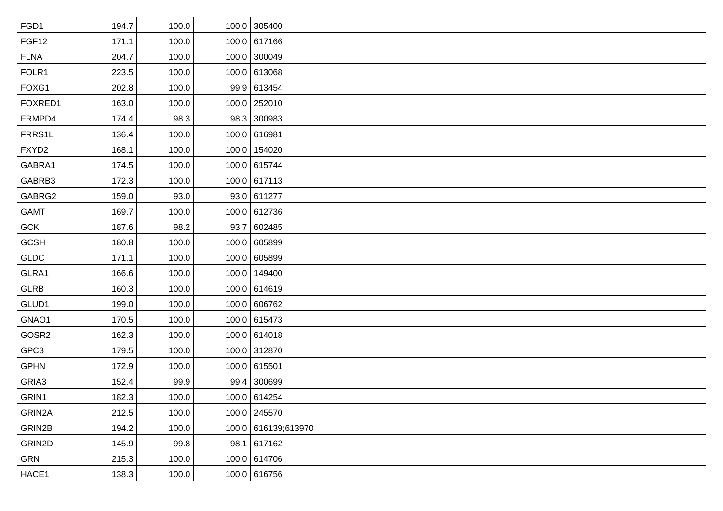| FGD1        | 194.7 | 100.0 | 100.0 305400        |
|-------------|-------|-------|---------------------|
| FGF12       | 171.1 | 100.0 | 100.0 617166        |
| <b>FLNA</b> | 204.7 | 100.0 | 100.0 300049        |
| FOLR1       | 223.5 | 100.0 | 100.0 613068        |
| FOXG1       | 202.8 | 100.0 | 99.9 613454         |
| FOXRED1     | 163.0 | 100.0 | 100.0 252010        |
| FRMPD4      | 174.4 | 98.3  | 98.3 300983         |
| FRRS1L      | 136.4 | 100.0 | 100.0 616981        |
| FXYD2       | 168.1 | 100.0 | 100.0 154020        |
| GABRA1      | 174.5 | 100.0 | 100.0 615744        |
| GABRB3      | 172.3 | 100.0 | 100.0 617113        |
| GABRG2      | 159.0 | 93.0  | 93.0 611277         |
| <b>GAMT</b> | 169.7 | 100.0 | 100.0 612736        |
| <b>GCK</b>  | 187.6 | 98.2  | 93.7 602485         |
| <b>GCSH</b> | 180.8 | 100.0 | 100.0 605899        |
| GLDC        | 171.1 | 100.0 | 100.0 605899        |
| GLRA1       | 166.6 | 100.0 | 100.0 149400        |
| <b>GLRB</b> | 160.3 | 100.0 | 100.0 614619        |
| GLUD1       | 199.0 | 100.0 | 100.0 606762        |
| GNAO1       | 170.5 | 100.0 | 100.0 615473        |
| GOSR2       | 162.3 | 100.0 | 100.0 614018        |
| GPC3        | 179.5 | 100.0 | 100.0 312870        |
| <b>GPHN</b> | 172.9 | 100.0 | 100.0 615501        |
| GRIA3       | 152.4 | 99.9  | 99.4 300699         |
| GRIN1       | 182.3 | 100.0 | 100.0 614254        |
| GRIN2A      | 212.5 | 100.0 | 100.0 245570        |
| GRIN2B      | 194.2 | 100.0 | 100.0 616139,613970 |
| GRIN2D      | 145.9 | 99.8  | 98.1   617162       |
| GRN         | 215.3 | 100.0 | 100.0 614706        |
| HACE1       | 138.3 | 100.0 | 100.0 616756        |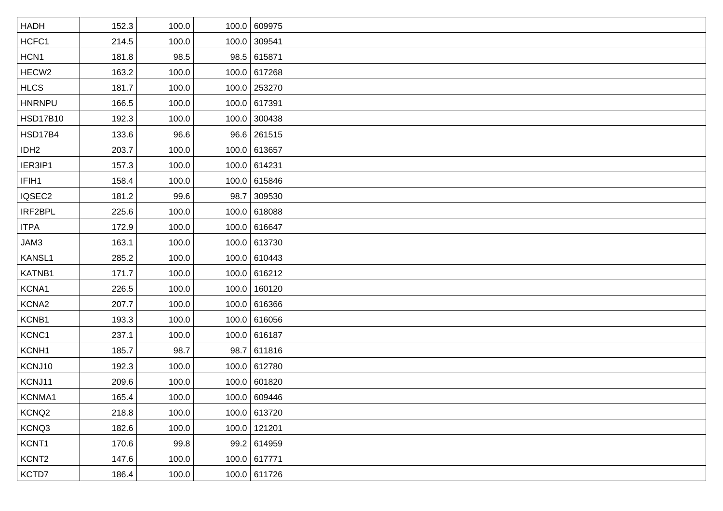| <b>HADH</b>       | 152.3 | 100.0 | 100.0 609975 |
|-------------------|-------|-------|--------------|
| HCFC1             | 214.5 | 100.0 | 100.0 309541 |
| HCN1              | 181.8 | 98.5  | 98.5 615871  |
| HECW <sub>2</sub> | 163.2 | 100.0 | 100.0 617268 |
| <b>HLCS</b>       | 181.7 | 100.0 | 100.0 253270 |
| <b>HNRNPU</b>     | 166.5 | 100.0 | 100.0 617391 |
| <b>HSD17B10</b>   | 192.3 | 100.0 | 100.0 300438 |
| <b>HSD17B4</b>    | 133.6 | 96.6  | 96.6 261515  |
| IDH <sub>2</sub>  | 203.7 | 100.0 | 100.0 613657 |
| IER3IP1           | 157.3 | 100.0 | 100.0 614231 |
| IFIH1             | 158.4 | 100.0 | 100.0 615846 |
| IQSEC2            | 181.2 | 99.6  | 98.7 309530  |
| IRF2BPL           | 225.6 | 100.0 | 100.0 618088 |
| <b>ITPA</b>       | 172.9 | 100.0 | 100.0 616647 |
| JAM3              | 163.1 | 100.0 | 100.0 613730 |
| KANSL1            | 285.2 | 100.0 | 100.0 610443 |
| KATNB1            | 171.7 | 100.0 | 100.0 616212 |
| KCNA1             | 226.5 | 100.0 | 100.0 160120 |
| KCNA2             | 207.7 | 100.0 | 100.0 616366 |
| KCNB1             | 193.3 | 100.0 | 100.0 616056 |
| KCNC1             | 237.1 | 100.0 | 100.0 616187 |
| KCNH1             | 185.7 | 98.7  | 98.7 611816  |
| KCNJ10            | 192.3 | 100.0 | 100.0 612780 |
| KCNJ11            | 209.6 | 100.0 | 100.0 601820 |
| KCNMA1            | 165.4 | 100.0 | 100.0 609446 |
| KCNQ <sub>2</sub> | 218.8 | 100.0 | 100.0 613720 |
| KCNQ3             | 182.6 | 100.0 | 100.0 121201 |
| KCNT1             | 170.6 | 99.8  | 99.2 614959  |
| KCNT <sub>2</sub> | 147.6 | 100.0 | 100.0 617771 |
| KCTD7             | 186.4 | 100.0 | 100.0 611726 |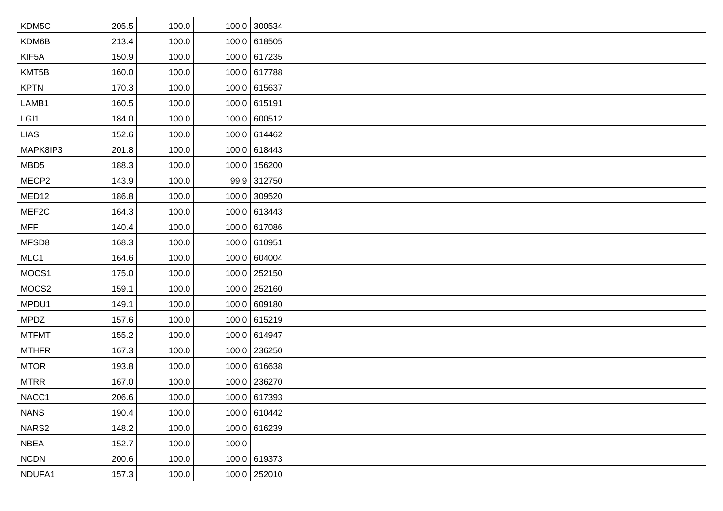| KDM5C             | 205.5 | 100.0 |           | 100.0 300534   |
|-------------------|-------|-------|-----------|----------------|
| KDM6B             | 213.4 | 100.0 |           | 100.0 618505   |
| KIF5A             | 150.9 | 100.0 |           | 100.0 617235   |
| KMT5B             | 160.0 | 100.0 |           | 100.0 617788   |
| <b>KPTN</b>       | 170.3 | 100.0 |           | 100.0 615637   |
| LAMB1             | 160.5 | 100.0 |           | 100.0 615191   |
| LGI1              | 184.0 | 100.0 |           | 100.0 600512   |
| <b>LIAS</b>       | 152.6 | 100.0 |           | 100.0 614462   |
| MAPK8IP3          | 201.8 | 100.0 |           | 100.0 618443   |
| MBD <sub>5</sub>  | 188.3 | 100.0 |           | 100.0 156200   |
| MECP2             | 143.9 | 100.0 |           | 99.9 312750    |
| MED <sub>12</sub> | 186.8 | 100.0 |           | 100.0 309520   |
| MEF2C             | 164.3 | 100.0 |           | 100.0 613443   |
| <b>MFF</b>        | 140.4 | 100.0 |           | 100.0 617086   |
| MFSD8             | 168.3 | 100.0 |           | 100.0 610951   |
| MLC1              | 164.6 | 100.0 |           | 100.0 604004   |
| MOCS1             | 175.0 | 100.0 |           | 100.0 252150   |
| MOCS2             | 159.1 | 100.0 |           | 100.0 252160   |
| MPDU1             | 149.1 | 100.0 |           | 100.0 609180   |
| <b>MPDZ</b>       | 157.6 | 100.0 |           | 100.0 615219   |
| <b>MTFMT</b>      | 155.2 | 100.0 |           | 100.0 614947   |
| <b>MTHFR</b>      | 167.3 | 100.0 |           | 100.0 236250   |
| <b>MTOR</b>       | 193.8 | 100.0 |           | 100.0 616638   |
| <b>MTRR</b>       | 167.0 | 100.0 |           | 100.0 236270   |
| NACC1             | 206.6 | 100.0 |           | 100.0 617393   |
| <b>NANS</b>       | 190.4 | 100.0 |           | 100.0 610442   |
| NARS2             | 148.2 | 100.0 |           | 100.0 616239   |
| <b>NBEA</b>       | 152.7 | 100.0 | $100.0$ - |                |
| <b>NCDN</b>       | 200.6 | 100.0 |           | 100.0 619373   |
| NDUFA1            | 157.3 | 100.0 |           | $100.0$ 252010 |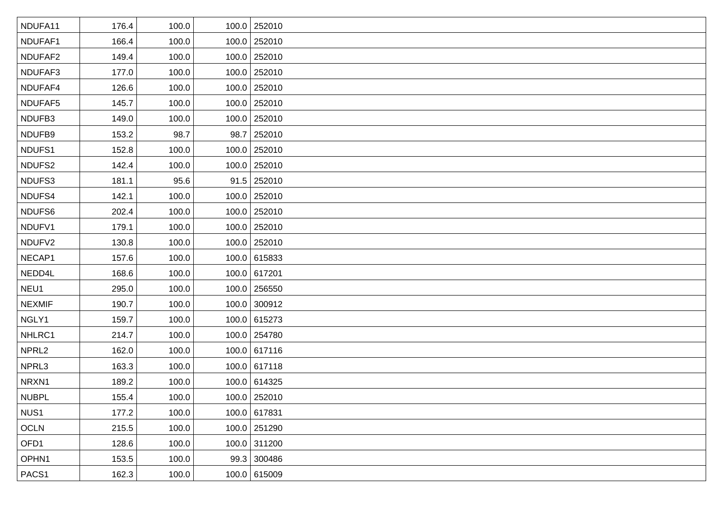| NDUFA11           | 176.4 | 100.0 | 100.0 252010   |
|-------------------|-------|-------|----------------|
| NDUFAF1           | 166.4 | 100.0 | 100.0 252010   |
| NDUFAF2           | 149.4 | 100.0 | 100.0 252010   |
| NDUFAF3           | 177.0 | 100.0 | 100.0 252010   |
| NDUFAF4           | 126.6 | 100.0 | 100.0 252010   |
| NDUFAF5           | 145.7 | 100.0 | 100.0 252010   |
| NDUFB3            | 149.0 | 100.0 | 100.0 252010   |
| NDUFB9            | 153.2 | 98.7  | 98.7 252010    |
| NDUFS1            | 152.8 | 100.0 | 100.0 252010   |
| NDUFS2            | 142.4 | 100.0 | 100.0 252010   |
| NDUFS3            | 181.1 | 95.6  | $91.5$ 252010  |
| NDUFS4            | 142.1 | 100.0 | 100.0 252010   |
| NDUFS6            | 202.4 | 100.0 | 100.0 252010   |
| NDUFV1            | 179.1 | 100.0 | 100.0 252010   |
| NDUFV2            | 130.8 | 100.0 | 100.0 252010   |
| NECAP1            | 157.6 | 100.0 | 100.0 615833   |
| NEDD4L            | 168.6 | 100.0 | 100.0 617201   |
| NEU1              | 295.0 | 100.0 | 100.0 256550   |
| <b>NEXMIF</b>     | 190.7 | 100.0 | 100.0 300912   |
| NGLY1             | 159.7 | 100.0 | 100.0 615273   |
| NHLRC1            | 214.7 | 100.0 | 100.0 254780   |
| NPRL <sub>2</sub> | 162.0 | 100.0 | 100.0 617116   |
| NPRL3             | 163.3 | 100.0 | 100.0 617118   |
| NRXN1             | 189.2 | 100.0 | 100.0 614325   |
| <b>NUBPL</b>      | 155.4 | 100.0 | 100.0 252010   |
| NUS1              | 177.2 | 100.0 | 100.0 617831   |
| <b>OCLN</b>       | 215.5 | 100.0 | $100.0$ 251290 |
| OFD1              | 128.6 | 100.0 | 100.0 311200   |
| OPHN1             | 153.5 | 100.0 | 99.3 300486    |
| PACS1             | 162.3 | 100.0 | 100.0 615009   |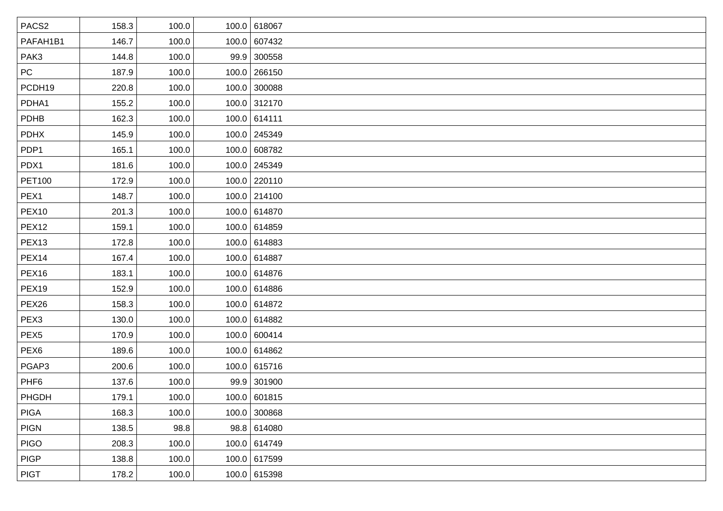| PACS <sub>2</sub> | 158.3 | 100.0 | 100.0 618067 |
|-------------------|-------|-------|--------------|
| PAFAH1B1          | 146.7 | 100.0 | 100.0 607432 |
| PAK3              | 144.8 | 100.0 | 99.9 300558  |
| <b>PC</b>         | 187.9 | 100.0 | 100.0 266150 |
| PCDH19            | 220.8 | 100.0 | 100.0 300088 |
| PDHA1             | 155.2 | 100.0 | 100.0 312170 |
| PDHB              | 162.3 | 100.0 | 100.0 614111 |
| <b>PDHX</b>       | 145.9 | 100.0 | 100.0 245349 |
| PDP1              | 165.1 | 100.0 | 100.0 608782 |
| PDX1              | 181.6 | 100.0 | 100.0 245349 |
| <b>PET100</b>     | 172.9 | 100.0 | 100.0 220110 |
| PEX1              | 148.7 | 100.0 | 100.0 214100 |
| <b>PEX10</b>      | 201.3 | 100.0 | 100.0 614870 |
| <b>PEX12</b>      | 159.1 | 100.0 | 100.0 614859 |
| PEX <sub>13</sub> | 172.8 | 100.0 | 100.0 614883 |
| PEX14             | 167.4 | 100.0 | 100.0 614887 |
| PEX <sub>16</sub> | 183.1 | 100.0 | 100.0 614876 |
| PEX19             | 152.9 | 100.0 | 100.0 614886 |
| PEX26             | 158.3 | 100.0 | 100.0 614872 |
| PEX <sub>3</sub>  | 130.0 | 100.0 | 100.0 614882 |
| PEX <sub>5</sub>  | 170.9 | 100.0 | 100.0 600414 |
| PEX <sub>6</sub>  | 189.6 | 100.0 | 100.0 614862 |
| PGAP3             | 200.6 | 100.0 | 100.0 615716 |
| PHF <sub>6</sub>  | 137.6 | 100.0 | 99.9 301900  |
| PHGDH             | 179.1 | 100.0 | 100.0 601815 |
| <b>PIGA</b>       | 168.3 | 100.0 | 100.0 300868 |
| <b>PIGN</b>       | 138.5 | 98.8  | 98.8 614080  |
| <b>PIGO</b>       | 208.3 | 100.0 | 100.0 614749 |
| <b>PIGP</b>       | 138.8 | 100.0 | 100.0 617599 |
| <b>PIGT</b>       | 178.2 | 100.0 | 100.0 615398 |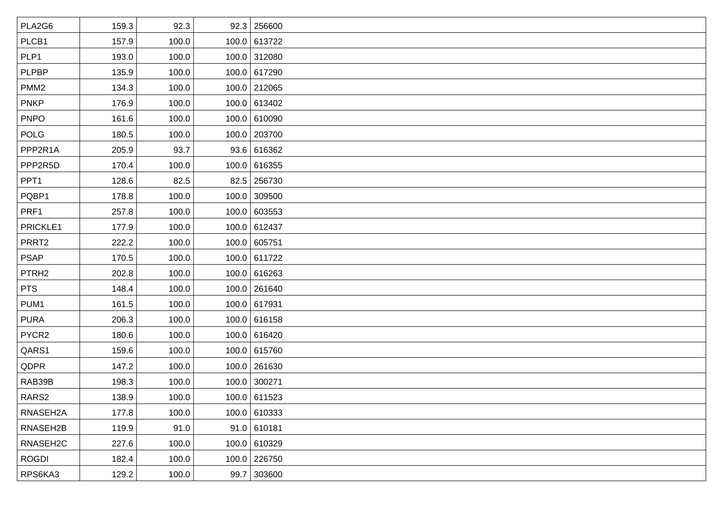| PLA2G6            | 159.3 | 92.3  | 92.3   256600  |
|-------------------|-------|-------|----------------|
| PLCB1             | 157.9 | 100.0 | 100.0 613722   |
| PLP1              | 193.0 | 100.0 | 100.0 312080   |
| <b>PLPBP</b>      | 135.9 | 100.0 | 100.0 617290   |
| PMM <sub>2</sub>  | 134.3 | 100.0 | 100.0 212065   |
| <b>PNKP</b>       | 176.9 | 100.0 | 100.0 613402   |
| <b>PNPO</b>       | 161.6 | 100.0 | 100.0 610090   |
| <b>POLG</b>       | 180.5 | 100.0 | 100.0 203700   |
| PPP2R1A           | 205.9 | 93.7  | 93.6 616362    |
| PPP2R5D           | 170.4 | 100.0 | 100.0 616355   |
| PPT <sub>1</sub>  | 128.6 | 82.5  | 82.5 256730    |
| PQBP1             | 178.8 | 100.0 | 100.0 309500   |
| PRF1              | 257.8 | 100.0 | 100.0 603553   |
| PRICKLE1          | 177.9 | 100.0 | 100.0 612437   |
| PRRT2             | 222.2 | 100.0 | 100.0 605751   |
| <b>PSAP</b>       | 170.5 | 100.0 | 100.0 611722   |
| PTRH <sub>2</sub> | 202.8 | 100.0 | 100.0 616263   |
| <b>PTS</b>        | 148.4 | 100.0 | 100.0 261640   |
| PUM1              | 161.5 | 100.0 | 100.0 617931   |
| <b>PURA</b>       | 206.3 | 100.0 | 100.0 616158   |
| PYCR2             | 180.6 | 100.0 | 100.0 616420   |
| QARS1             | 159.6 | 100.0 | 100.0 615760   |
| QDPR              | 147.2 | 100.0 | 100.0 261630   |
| RAB39B            | 198.3 | 100.0 | $100.0$ 300271 |
| RARS2             | 138.9 | 100.0 | 100.0 611523   |
| RNASEH2A          | 177.8 | 100.0 | 100.0 610333   |
| RNASEH2B          | 119.9 | 91.0  | 91.0   610181  |
| RNASEH2C          | 227.6 | 100.0 | 100.0 610329   |
| <b>ROGDI</b>      | 182.4 | 100.0 | 100.0 226750   |
| RPS6KA3           | 129.2 | 100.0 | 99.7 303600    |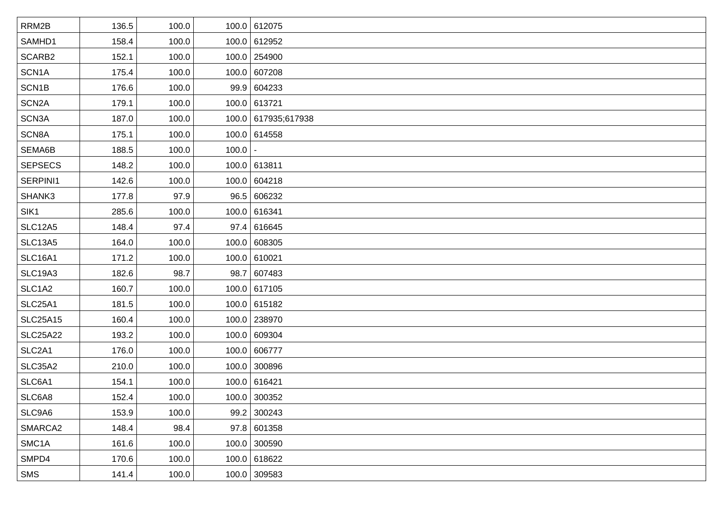| RRM2B              | 136.5 | 100.0 |       | 100.0 612075        |
|--------------------|-------|-------|-------|---------------------|
| SAMHD1             | 158.4 | 100.0 |       | 100.0 612952        |
| SCARB2             | 152.1 | 100.0 |       | 100.0 254900        |
| SCN1A              | 175.4 | 100.0 |       | 100.0 607208        |
| SCN1B              | 176.6 | 100.0 |       | 99.9 604233         |
| SCN <sub>2</sub> A | 179.1 | 100.0 |       | 100.0 613721        |
| SCN3A              | 187.0 | 100.0 |       | 100.0 617935;617938 |
| SCN8A              | 175.1 | 100.0 |       | 100.0 614558        |
| SEMA6B             | 188.5 | 100.0 | 100.0 |                     |
| <b>SEPSECS</b>     | 148.2 | 100.0 |       | 100.0 613811        |
| SERPINI1           | 142.6 | 100.0 |       | 100.0 604218        |
| SHANK3             | 177.8 | 97.9  |       | 96.5   606232       |
| SIK1               | 285.6 | 100.0 |       | 100.0 616341        |
| <b>SLC12A5</b>     | 148.4 | 97.4  |       | 97.4 616645         |
| <b>SLC13A5</b>     | 164.0 | 100.0 |       | 100.0 608305        |
| <b>SLC16A1</b>     | 171.2 | 100.0 |       | 100.0 610021        |
| <b>SLC19A3</b>     | 182.6 | 98.7  |       | 98.7 607483         |
| SLC1A2             | 160.7 | 100.0 |       | 100.0 617105        |
| <b>SLC25A1</b>     | 181.5 | 100.0 |       | 100.0 615182        |
| <b>SLC25A15</b>    | 160.4 | 100.0 |       | 100.0 238970        |
| <b>SLC25A22</b>    | 193.2 | 100.0 |       | 100.0 609304        |
| SLC2A1             | 176.0 | 100.0 |       | 100.0 606777        |
| <b>SLC35A2</b>     | 210.0 | 100.0 |       | 100.0 300896        |
| SLC6A1             | 154.1 | 100.0 |       | 100.0 616421        |
| SLC6A8             | 152.4 | 100.0 |       | 100.0 300352        |
| SLC9A6             | 153.9 | 100.0 |       | 99.2 300243         |
| SMARCA2            | 148.4 | 98.4  |       | 97.8 601358         |
| SMC <sub>1</sub> A | 161.6 | 100.0 |       | 100.0 300590        |
| SMPD4              | 170.6 | 100.0 |       | 100.0 618622        |
| SMS                | 141.4 | 100.0 |       | $100.0$ 309583      |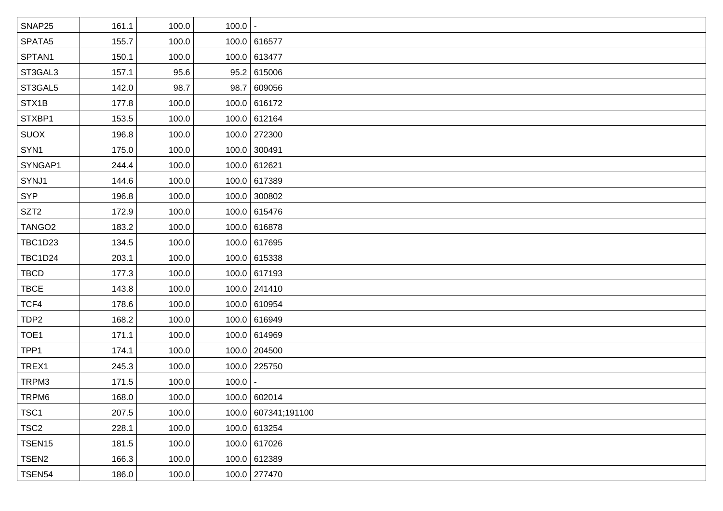| SNAP25             | 161.1 | 100.0 | $100.0$   - |                     |
|--------------------|-------|-------|-------------|---------------------|
| SPATA5             | 155.7 | 100.0 |             | 100.0 616577        |
| SPTAN1             | 150.1 | 100.0 |             | 100.0 613477        |
| ST3GAL3            | 157.1 | 95.6  |             | 95.2   615006       |
| ST3GAL5            | 142.0 | 98.7  |             | 98.7 609056         |
| STX1B              | 177.8 | 100.0 |             | 100.0 616172        |
| STXBP1             | 153.5 | 100.0 |             | 100.0 612164        |
| <b>SUOX</b>        | 196.8 | 100.0 |             | 100.0 272300        |
| SYN1               | 175.0 | 100.0 |             | 100.0 300491        |
| SYNGAP1            | 244.4 | 100.0 |             | 100.0 612621        |
| SYNJ1              | 144.6 | 100.0 |             | 100.0 617389        |
| <b>SYP</b>         | 196.8 | 100.0 |             | 100.0 300802        |
| SZT <sub>2</sub>   | 172.9 | 100.0 |             | 100.0 615476        |
| TANGO <sub>2</sub> | 183.2 | 100.0 |             | 100.0 616878        |
| <b>TBC1D23</b>     | 134.5 | 100.0 |             | 100.0 617695        |
| <b>TBC1D24</b>     | 203.1 | 100.0 |             | 100.0 615338        |
| <b>TBCD</b>        | 177.3 | 100.0 |             | 100.0 617193        |
| <b>TBCE</b>        | 143.8 | 100.0 |             | 100.0 241410        |
| TCF4               | 178.6 | 100.0 |             | 100.0 610954        |
| TDP <sub>2</sub>   | 168.2 | 100.0 |             | 100.0 616949        |
| TOE1               | 171.1 | 100.0 |             | 100.0 614969        |
| TPP1               | 174.1 | 100.0 |             | 100.0 204500        |
| TREX1              | 245.3 | 100.0 |             | 100.0 225750        |
| TRPM3              | 171.5 | 100.0 | 100.0       |                     |
| TRPM6              | 168.0 | 100.0 |             | 100.0 602014        |
| TSC1               | 207.5 | 100.0 |             | 100.0 607341;191100 |
| TSC <sub>2</sub>   | 228.1 | 100.0 |             | 100.0 613254        |
| TSEN15             | 181.5 | 100.0 |             | 100.0 617026        |
| TSEN <sub>2</sub>  | 166.3 | 100.0 |             | 100.0 612389        |
| TSEN54             | 186.0 | 100.0 |             | 100.0 277470        |